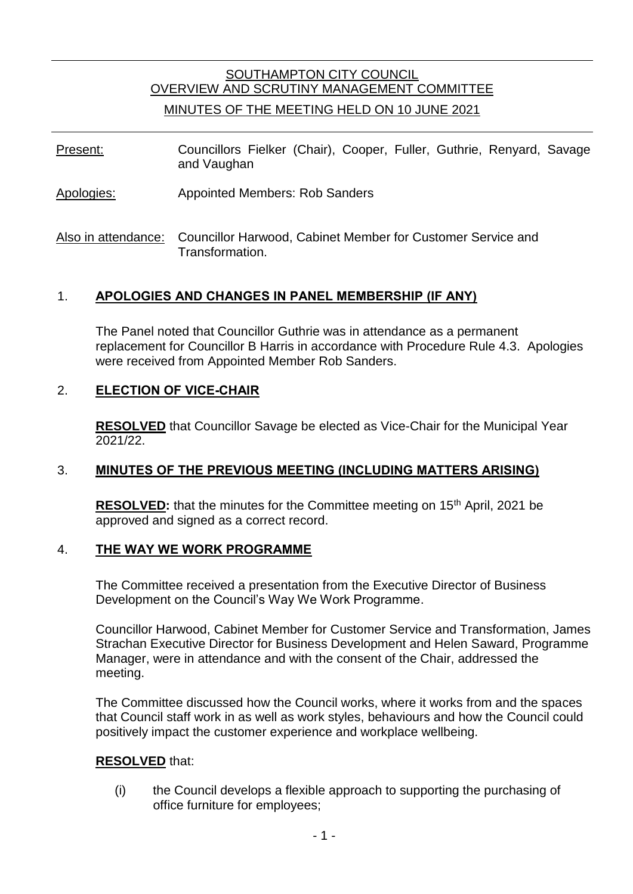# SOUTHAMPTON CITY COUNCIL OVERVIEW AND SCRUTINY MANAGEMENT COMMITTEE MINUTES OF THE MEETING HELD ON 10 JUNE 2021

- Present: Councillors Fielker (Chair), Cooper, Fuller, Guthrie, Renyard, Savage and Vaughan
- Apologies: Appointed Members: Rob Sanders
- Also in attendance: Councillor Harwood, Cabinet Member for Customer Service and Transformation.

## 1. **APOLOGIES AND CHANGES IN PANEL MEMBERSHIP (IF ANY)**

The Panel noted that Councillor Guthrie was in attendance as a permanent replacement for Councillor B Harris in accordance with Procedure Rule 4.3. Apologies were received from Appointed Member Rob Sanders.

## 2. **ELECTION OF VICE-CHAIR**

**RESOLVED** that Councillor Savage be elected as Vice-Chair for the Municipal Year 2021/22.

## 3. **MINUTES OF THE PREVIOUS MEETING (INCLUDING MATTERS ARISING)**

**RESOLVED:** that the minutes for the Committee meeting on 15<sup>th</sup> April, 2021 be approved and signed as a correct record.

### 4. **THE WAY WE WORK PROGRAMME**

The Committee received a presentation from the Executive Director of Business Development on the Council's Way We Work Programme.

Councillor Harwood, Cabinet Member for Customer Service and Transformation, James Strachan Executive Director for Business Development and Helen Saward, Programme Manager, were in attendance and with the consent of the Chair, addressed the meeting.

The Committee discussed how the Council works, where it works from and the spaces that Council staff work in as well as work styles, behaviours and how the Council could positively impact the customer experience and workplace wellbeing.

### **RESOLVED** that:

(i) the Council develops a flexible approach to supporting the purchasing of office furniture for employees;